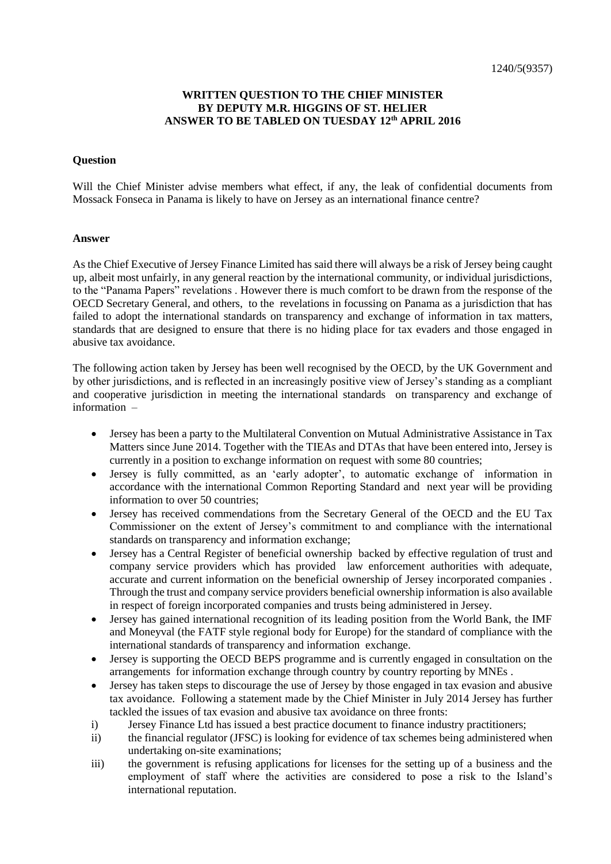## **WRITTEN QUESTION TO THE CHIEF MINISTER BY DEPUTY M.R. HIGGINS OF ST. HELIER ANSWER TO BE TABLED ON TUESDAY 12th APRIL 2016**

## **Question**

Will the Chief Minister advise members what effect, if any, the leak of confidential documents from Mossack Fonseca in Panama is likely to have on Jersey as an international finance centre?

## **Answer**

As the Chief Executive of Jersey Finance Limited has said there will always be a risk of Jersey being caught up, albeit most unfairly, in any general reaction by the international community, or individual jurisdictions, to the "Panama Papers" revelations . However there is much comfort to be drawn from the response of the OECD Secretary General, and others, to the revelations in focussing on Panama as a jurisdiction that has failed to adopt the international standards on transparency and exchange of information in tax matters, standards that are designed to ensure that there is no hiding place for tax evaders and those engaged in abusive tax avoidance.

The following action taken by Jersey has been well recognised by the OECD, by the UK Government and by other jurisdictions, and is reflected in an increasingly positive view of Jersey's standing as a compliant and cooperative jurisdiction in meeting the international standards on transparency and exchange of information –

- Jersey has been a party to the Multilateral Convention on Mutual Administrative Assistance in Tax Matters since June 2014. Together with the TIEAs and DTAs that have been entered into, Jersey is currently in a position to exchange information on request with some 80 countries;
- Jersey is fully committed, as an 'early adopter', to automatic exchange of information in accordance with the international Common Reporting Standard and next year will be providing information to over 50 countries;
- Jersey has received commendations from the Secretary General of the OECD and the EU Tax Commissioner on the extent of Jersey's commitment to and compliance with the international standards on transparency and information exchange;
- Jersey has a Central Register of beneficial ownership backed by effective regulation of trust and company service providers which has provided law enforcement authorities with adequate, accurate and current information on the beneficial ownership of Jersey incorporated companies . Through the trust and company service providers beneficial ownership information is also available in respect of foreign incorporated companies and trusts being administered in Jersey.
- Jersey has gained international recognition of its leading position from the World Bank, the IMF and Moneyval (the FATF style regional body for Europe) for the standard of compliance with the international standards of transparency and information exchange.
- Jersey is supporting the OECD BEPS programme and is currently engaged in consultation on the arrangements for information exchange through country by country reporting by MNEs .
- Jersey has taken steps to discourage the use of Jersey by those engaged in tax evasion and abusive tax avoidance. Following a statement made by the Chief Minister in July 2014 Jersey has further tackled the issues of tax evasion and abusive tax avoidance on three fronts:
- i) Jersey Finance Ltd has issued a best practice document to finance industry practitioners;
- ii) the financial regulator (JFSC) is looking for evidence of tax schemes being administered when undertaking on-site examinations;
- iii) the government is refusing applications for licenses for the setting up of a business and the employment of staff where the activities are considered to pose a risk to the Island's international reputation.